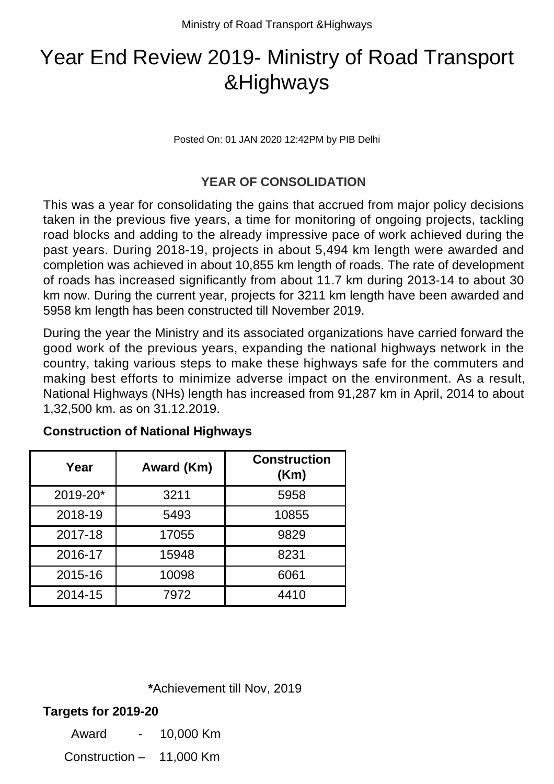# Year End Review 2019- Ministry of Road Transport &Highways

Posted On: 01 JAN 2020 12:42PM by PIB Delhi

#### **YEAR OF CONSOLIDATION**

This was a year for consolidating the gains that accrued from major policy decisions taken in the previous five years, a time for monitoring of ongoing projects, tackling road blocks and adding to the already impressive pace of work achieved during the past years. During 2018-19, projects in about 5,494 km length were awarded and completion was achieved in about 10,855 km length of roads. The rate of development of roads has increased significantly from about 11.7 km during 2013-14 to about 30 km now. During the current year, projects for 3211 km length have been awarded and 5958 km length has been constructed till November 2019.

During the year the Ministry and its associated organizations have carried forward the good work of the previous years, expanding the national highways network in the country, taking various steps to make these highways safe for the commuters and making best efforts to minimize adverse impact on the environment. As a result, National Highways (NHs) length has increased from 91,287 km in April, 2014 to about 1,32,500 km. as on 31.12.2019.

| Year     | Award (Km) | <b>Construction</b><br>(Km) |
|----------|------------|-----------------------------|
| 2019-20* | 3211       | 5958                        |
| 2018-19  | 5493       | 10855                       |
| 2017-18  | 17055      | 9829                        |
| 2016-17  | 15948      | 8231                        |
| 2015-16  | 10098      | 6061                        |
| 2014-15  | 7972       | 4410                        |

#### **Construction of National Highways**

 **\***Achievement till Nov, 2019

#### **Targets for 2019-20**

Award - 10,000 Km

Construction – 11,000 Km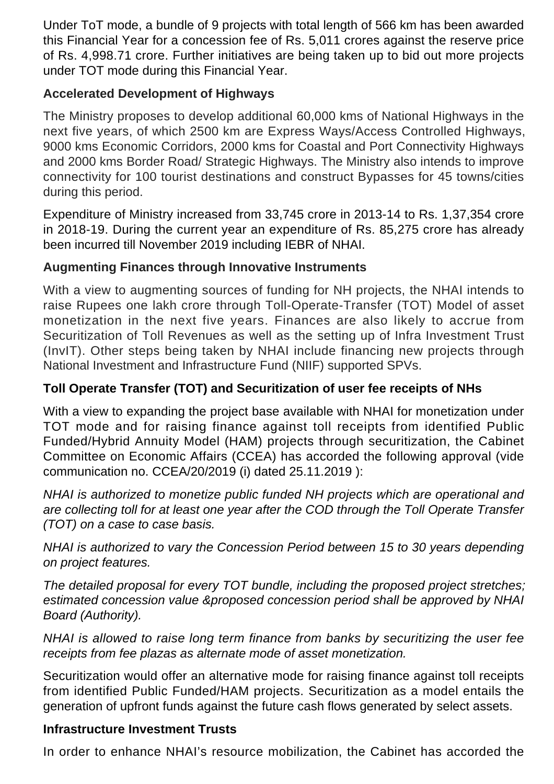Under ToT mode, a bundle of 9 projects with total length of 566 km has been awarded this Financial Year for a concession fee of Rs. 5,011 crores against the reserve price of Rs. 4,998.71 crore. Further initiatives are being taken up to bid out more projects under TOT mode during this Financial Year.

## **Accelerated Development of Highways**

The Ministry proposes to develop additional 60,000 kms of National Highways in the next five years, of which 2500 km are Express Ways/Access Controlled Highways, 9000 kms Economic Corridors, 2000 kms for Coastal and Port Connectivity Highways and 2000 kms Border Road/ Strategic Highways. The Ministry also intends to improve connectivity for 100 tourist destinations and construct Bypasses for 45 towns/cities during this period.

Expenditure of Ministry increased from 33,745 crore in 2013-14 to Rs. 1,37,354 crore in 2018-19. During the current year an expenditure of Rs. 85,275 crore has already been incurred till November 2019 including IEBR of NHAI.

# **Augmenting Finances through Innovative Instruments**

With a view to augmenting sources of funding for NH projects, the NHAI intends to raise Rupees one lakh crore through Toll-Operate-Transfer (TOT) Model of asset monetization in the next five years. Finances are also likely to accrue from Securitization of Toll Revenues as well as the setting up of Infra Investment Trust (InvIT). Other steps being taken by NHAI include financing new projects through National Investment and Infrastructure Fund (NIIF) supported SPVs.

## **Toll Operate Transfer (TOT) and Securitization of user fee receipts of NHs**

With a view to expanding the project base available with NHAI for monetization under TOT mode and for raising finance against toll receipts from identified Public Funded/Hybrid Annuity Model (HAM) projects through securitization, the Cabinet Committee on Economic Affairs (CCEA) has accorded the following approval (vide communication no. CCEA/20/2019 (i) dated 25.11.2019 ):

NHAI is authorized to monetize public funded NH projects which are operational and are collecting toll for at least one year after the COD through the Toll Operate Transfer (TOT) on a case to case basis.

NHAI is authorized to vary the Concession Period between 15 to 30 years depending on project features.

The detailed proposal for every TOT bundle, including the proposed project stretches; estimated concession value &proposed concession period shall be approved by NHAI Board (Authority).

NHAI is allowed to raise long term finance from banks by securitizing the user fee receipts from fee plazas as alternate mode of asset monetization.

Securitization would offer an alternative mode for raising finance against toll receipts from identified Public Funded/HAM projects. Securitization as a model entails the generation of upfront funds against the future cash flows generated by select assets.

## **Infrastructure Investment Trusts**

In order to enhance NHAI's resource mobilization, the Cabinet has accorded the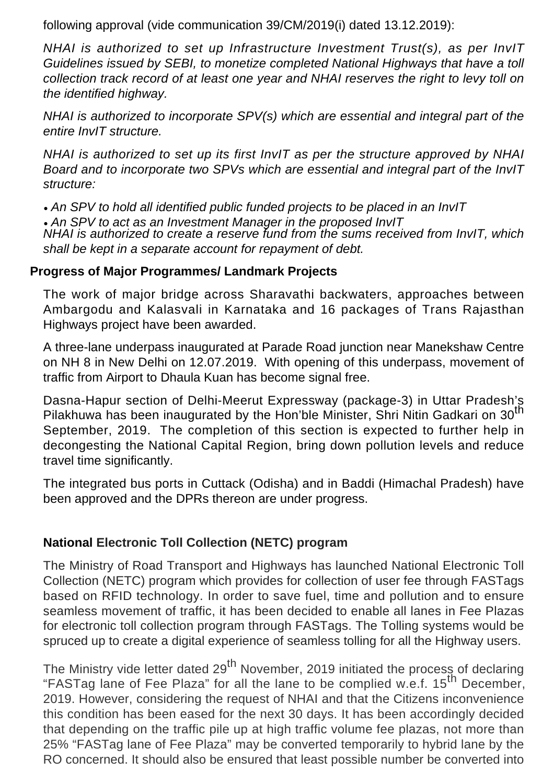following approval (vide communication 39/CM/2019(i) dated 13.12.2019):

NHAI is authorized to set up Infrastructure Investment Trust(s), as per InvIT Guidelines issued by SEBI, to monetize completed National Highways that have a toll collection track record of at least one year and NHAI reserves the right to levy toll on the identified highway.

NHAI is authorized to incorporate SPV(s) which are essential and integral part of the entire InvIT structure.

NHAI is authorized to set up its first InvIT as per the structure approved by NHAI Board and to incorporate two SPVs which are essential and integral part of the InvIT structure:

• An SPV to hold all identified public funded projects to be placed in an InvIT

• An SPV to act as an Investment Manager in the proposed InvIT NHAI is authorized to create a reserve fund from the sums received from InvIT, which shall be kept in a separate account for repayment of debt.

## **Progress of Major Programmes/ Landmark Projects**

The work of major bridge across Sharavathi backwaters, approaches between Ambargodu and Kalasvali in Karnataka and 16 packages of Trans Rajasthan Highways project have been awarded.

A three-lane underpass inaugurated at Parade Road junction near Manekshaw Centre on NH 8 in New Delhi on 12.07.2019. With opening of this underpass, movement of traffic from Airport to Dhaula Kuan has become signal free.

Dasna-Hapur section of Delhi-Meerut Expressway (package-3) in Uttar Pradesh's Pilakhuwa has been inaugurated by the Hon'ble Minister, Shri Nitin Gadkari on 30<sup>th</sup> September, 2019. The completion of this section is expected to further help in decongesting the National Capital Region, bring down pollution levels and reduce travel time significantly.

The integrated bus ports in Cuttack (Odisha) and in Baddi (Himachal Pradesh) have been approved and the DPRs thereon are under progress.

## **National Electronic Toll Collection (NETC) program**

The Ministry of Road Transport and Highways has launched National Electronic Toll Collection (NETC) program which provides for collection of user fee through FASTags based on RFID technology. In order to save fuel, time and pollution and to ensure seamless movement of traffic, it has been decided to enable all lanes in Fee Plazas for electronic toll collection program through FASTags. The Tolling systems would be spruced up to create a digital experience of seamless tolling for all the Highway users.

The Ministry vide letter dated 29<sup>th</sup> November, 2019 initiated the process of declaring "FASTag lane of Fee Plaza" for all the lane to be complied w.e.f. 15<sup>th</sup> December, 2019. However, considering the request of NHAI and that the Citizens inconvenience this condition has been eased for the next 30 days. It has been accordingly decided that depending on the traffic pile up at high traffic volume fee plazas, not more than 25% "FASTag lane of Fee Plaza" may be converted temporarily to hybrid lane by the RO concerned. It should also be ensured that least possible number be converted into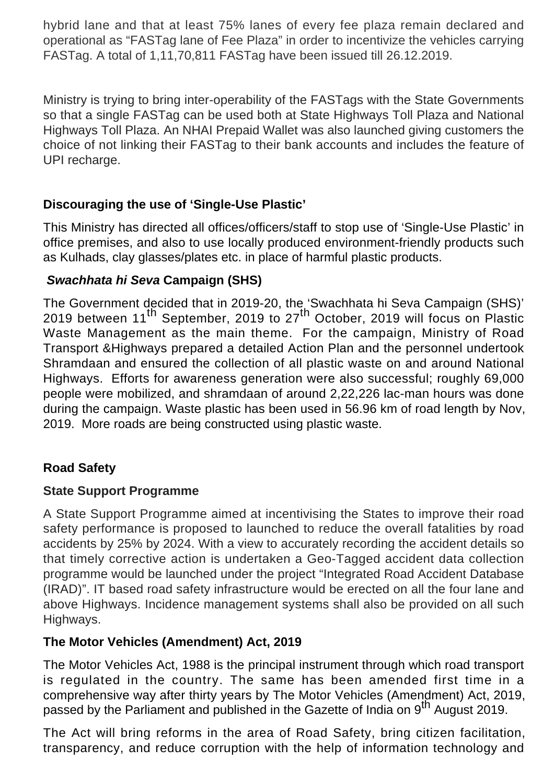hybrid lane and that at least 75% lanes of every fee plaza remain declared and operational as "FASTag lane of Fee Plaza" in order to incentivize the vehicles carrying FASTag. A total of 1,11,70,811 FASTag have been issued till 26.12.2019.

Ministry is trying to bring inter-operability of the FASTags with the State Governments so that a single FASTag can be used both at State Highways Toll Plaza and National Highways Toll Plaza. An NHAI Prepaid Wallet was also launched giving customers the choice of not linking their FASTag to their bank accounts and includes the feature of UPI recharge.

## **Discouraging the use of 'Single-Use Plastic'**

This Ministry has directed all offices/officers/staff to stop use of 'Single-Use Plastic' in office premises, and also to use locally produced environment-friendly products such as Kulhads, clay glasses/plates etc. in place of harmful plastic products.

## **Swachhata hi Seva Campaign (SHS)**

The Government decided that in 2019-20, the 'Swachhata hi Seva Campaign (SHS)' 2019 between 11<sup>th</sup> September, 2019 to 27<sup>th</sup> October, 2019 will focus on Plastic Waste Management as the main theme. For the campaign, Ministry of Road Transport &Highways prepared a detailed Action Plan and the personnel undertook Shramdaan and ensured the collection of all plastic waste on and around National Highways. Efforts for awareness generation were also successful; roughly 69,000 people were mobilized, and shramdaan of around 2,22,226 lac-man hours was done during the campaign. Waste plastic has been used in 56.96 km of road length by Nov, 2019. More roads are being constructed using plastic waste.

# **Road Safety**

## **State Support Programme**

A State Support Programme aimed at incentivising the States to improve their road safety performance is proposed to launched to reduce the overall fatalities by road accidents by 25% by 2024. With a view to accurately recording the accident details so that timely corrective action is undertaken a Geo-Tagged accident data collection programme would be launched under the project "Integrated Road Accident Database (IRAD)". IT based road safety infrastructure would be erected on all the four lane and above Highways. Incidence management systems shall also be provided on all such Highways.

## **The Motor Vehicles (Amendment) Act, 2019**

The Motor Vehicles Act, 1988 is the principal instrument through which road transport is regulated in the country. The same has been amended first time in a comprehensive way after thirty years by The Motor Vehicles (Amendment) Act, 2019, passed by the Parliament and published in the Gazette of India on 9<sup>th</sup> August 2019.

The Act will bring reforms in the area of Road Safety, bring citizen facilitation, transparency, and reduce corruption with the help of information technology and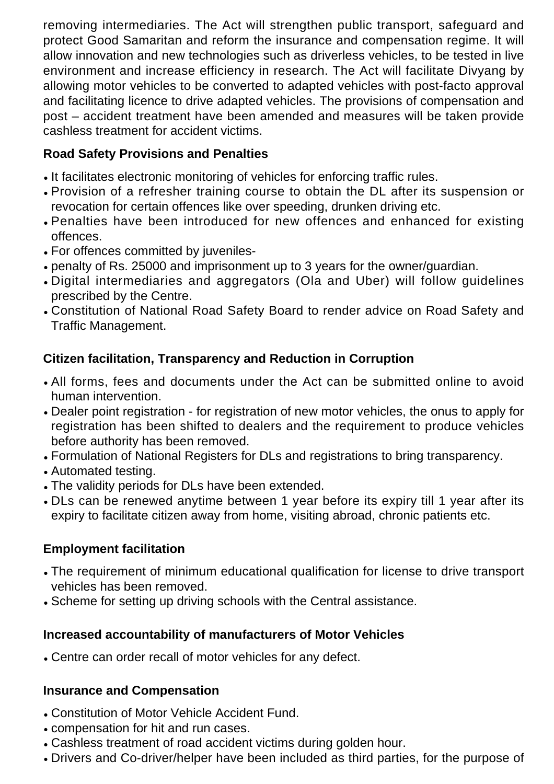removing intermediaries. The Act will strengthen public transport, safeguard and protect Good Samaritan and reform the insurance and compensation regime. It will allow innovation and new technologies such as driverless vehicles, to be tested in live environment and increase efficiency in research. The Act will facilitate Divyang by allowing motor vehicles to be converted to adapted vehicles with post-facto approval and facilitating licence to drive adapted vehicles. The provisions of compensation and post – accident treatment have been amended and measures will be taken provide cashless treatment for accident victims.

## **Road Safety Provisions and Penalties**

- It facilitates electronic monitoring of vehicles for enforcing traffic rules.
- Provision of a refresher training course to obtain the DL after its suspension or revocation for certain offences like over speeding, drunken driving etc.
- Penalties have been introduced for new offences and enhanced for existing offences.
- For offences committed by juveniles-
- penalty of Rs. 25000 and imprisonment up to 3 years for the owner/guardian.
- Digital intermediaries and aggregators (Ola and Uber) will follow guidelines prescribed by the Centre.
- Constitution of National Road Safety Board to render advice on Road Safety and Traffic Management.

## **Citizen facilitation, Transparency and Reduction in Corruption**

- All forms, fees and documents under the Act can be submitted online to avoid human intervention.
- Dealer point registration for registration of new motor vehicles, the onus to apply for registration has been shifted to dealers and the requirement to produce vehicles before authority has been removed.
- Formulation of National Registers for DLs and registrations to bring transparency.
- Automated testing.
- The validity periods for DLs have been extended.
- DLs can be renewed anytime between 1 year before its expiry till 1 year after its expiry to facilitate citizen away from home, visiting abroad, chronic patients etc.

## **Employment facilitation**

- The requirement of minimum educational qualification for license to drive transport vehicles has been removed.
- Scheme for setting up driving schools with the Central assistance.

## **Increased accountability of manufacturers of Motor Vehicles**

• Centre can order recall of motor vehicles for any defect.

## **Insurance and Compensation**

- Constitution of Motor Vehicle Accident Fund.
- compensation for hit and run cases.
- Cashless treatment of road accident victims during golden hour.
- Drivers and Co-driver/helper have been included as third parties, for the purpose of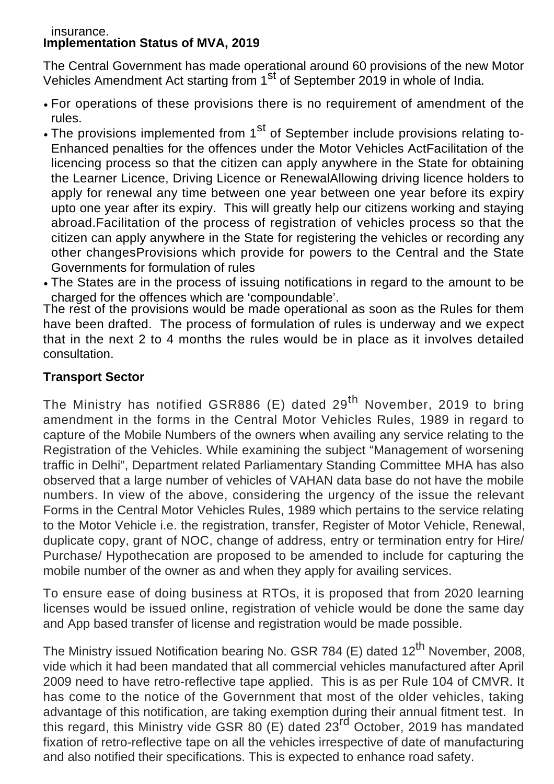#### insurance. **Implementation Status of MVA, 2019**

The Central Government has made operational around 60 provisions of the new Motor Vehicles Amendment Act starting from 1st of September 2019 in whole of India.

- For operations of these provisions there is no requirement of amendment of the rules.
- The provisions implemented from 1<sup>st</sup> of September include provisions relating to-Enhanced penalties for the offences under the Motor Vehicles ActFacilitation of the licencing process so that the citizen can apply anywhere in the State for obtaining the Learner Licence, Driving Licence or RenewalAllowing driving licence holders to apply for renewal any time between one year between one year before its expiry upto one year after its expiry. This will greatly help our citizens working and staying abroad.Facilitation of the process of registration of vehicles process so that the citizen can apply anywhere in the State for registering the vehicles or recording any other changesProvisions which provide for powers to the Central and the State Governments for formulation of rules
- The States are in the process of issuing notifications in regard to the amount to be charged for the offences which are 'compoundable'.

The rest of the provisions would be made operational as soon as the Rules for them have been drafted. The process of formulation of rules is underway and we expect that in the next 2 to 4 months the rules would be in place as it involves detailed consultation.

## **Transport Sector**

The Ministry has notified GSR886 (E) dated  $29^{th}$  November, 2019 to bring amendment in the forms in the Central Motor Vehicles Rules, 1989 in regard to capture of the Mobile Numbers of the owners when availing any service relating to the Registration of the Vehicles. While examining the subject "Management of worsening traffic in Delhi", Department related Parliamentary Standing Committee MHA has also observed that a large number of vehicles of VAHAN data base do not have the mobile numbers. In view of the above, considering the urgency of the issue the relevant Forms in the Central Motor Vehicles Rules, 1989 which pertains to the service relating to the Motor Vehicle i.e. the registration, transfer, Register of Motor Vehicle, Renewal, duplicate copy, grant of NOC, change of address, entry or termination entry for Hire/ Purchase/ Hypothecation are proposed to be amended to include for capturing the mobile number of the owner as and when they apply for availing services.

To ensure ease of doing business at RTOs, it is proposed that from 2020 learning licenses would be issued online, registration of vehicle would be done the same day and App based transfer of license and registration would be made possible.

The Ministry issued Notification bearing No. GSR 784 (E) dated 12<sup>th</sup> November, 2008, vide which it had been mandated that all commercial vehicles manufactured after April 2009 need to have retro-reflective tape applied. This is as per Rule 104 of CMVR. It has come to the notice of the Government that most of the older vehicles, taking advantage of this notification, are taking exemption during their annual fitment test. In this regard, this Ministry vide GSR 80 (E) dated 23rd October, 2019 has mandated fixation of retro-reflective tape on all the vehicles irrespective of date of manufacturing and also notified their specifications. This is expected to enhance road safety.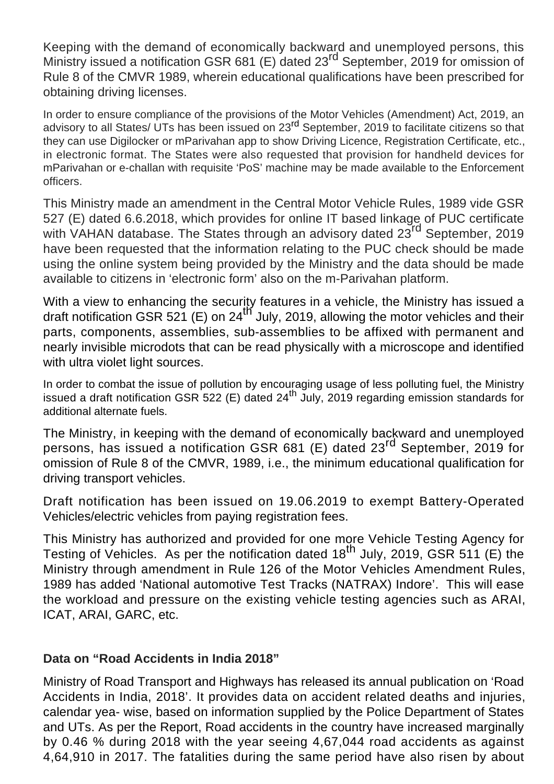Keeping with the demand of economically backward and unemployed persons, this Ministry issued a notification GSR 681 (E) dated 23rd September, 2019 for omission of Rule 8 of the CMVR 1989, wherein educational qualifications have been prescribed for obtaining driving licenses.

In order to ensure compliance of the provisions of the Motor Vehicles (Amendment) Act, 2019, an advisory to all States/ UTs has been issued on 23<sup>rd</sup> September, 2019 to facilitate citizens so that they can use Digilocker or mParivahan app to show Driving Licence, Registration Certificate, etc., in electronic format. The States were also requested that provision for handheld devices for mParivahan or e-challan with requisite 'PoS' machine may be made available to the Enforcement officers.

This Ministry made an amendment in the Central Motor Vehicle Rules, 1989 vide GSR 527 (E) dated 6.6.2018, which provides for online IT based linkage of PUC certificate with VAHAN database. The States through an advisory dated 23<sup>rd</sup> September, 2019 have been requested that the information relating to the PUC check should be made using the online system being provided by the Ministry and the data should be made available to citizens in 'electronic form' also on the m-Parivahan platform.

With a view to enhancing the security features in a vehicle, the Ministry has issued a draft notification GSR 521 (E) on  $24^{\text{th}}$  July, 2019, allowing the motor vehicles and their parts, components, assemblies, sub-assemblies to be affixed with permanent and nearly invisible microdots that can be read physically with a microscope and identified with ultra violet light sources.

In order to combat the issue of pollution by encouraging usage of less polluting fuel, the Ministry issued a draft notification GSR 522 (E) dated  $24<sup>th</sup>$  July, 2019 regarding emission standards for additional alternate fuels.

The Ministry, in keeping with the demand of economically backward and unemployed persons, has issued a notification GSR 681 (E) dated 23<sup>rd</sup> September, 2019 for omission of Rule 8 of the CMVR, 1989, i.e., the minimum educational qualification for driving transport vehicles.

Draft notification has been issued on 19.06.2019 to exempt Battery-Operated Vehicles/electric vehicles from paying registration fees.

This Ministry has authorized and provided for one more Vehicle Testing Agency for The ministry has addited and provided for one mere vehicle results rightly for Testing of Vehicles. As per the notification dated 18<sup>th</sup> July, 2019, GSR 511 (E) the Ministry through amendment in Rule 126 of the Motor Vehicles Amendment Rules, 1989 has added 'National automotive Test Tracks (NATRAX) Indore'. This will ease the workload and pressure on the existing vehicle testing agencies such as ARAI, ICAT, ARAI, GARC, etc.

## **Data on "Road Accidents in India 2018"**

Ministry of Road Transport and Highways has released its annual publication on 'Road Accidents in India, 2018'. It provides data on accident related deaths and injuries, calendar yea- wise, based on information supplied by the Police Department of States and UTs. As per the Report, Road accidents in the country have increased marginally by 0.46 % during 2018 with the year seeing 4,67,044 road accidents as against 4,64,910 in 2017. The fatalities during the same period have also risen by about